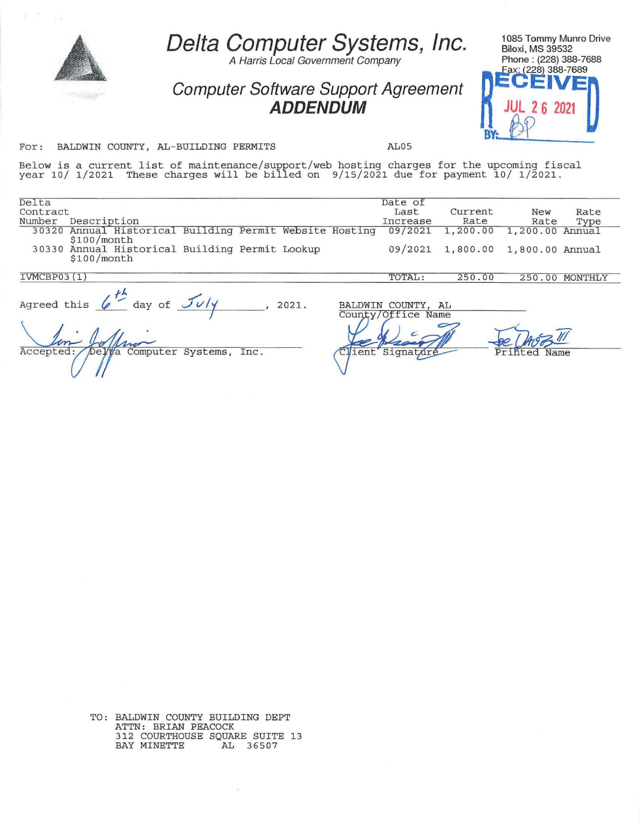|                                                                                                                                                                                       | Delta Computer Systems, Inc.<br>A Harris Local Government Company<br>Computer Software Support Agreement<br><b>ADDENDUM</b> |  |                                                          |                                         | 1085 Tommy Munro Drive<br><b>Biloxi, MS 39532</b><br>Phone: (228) 388-7688<br>Fax: (228) 388-7689 |              |
|---------------------------------------------------------------------------------------------------------------------------------------------------------------------------------------|-----------------------------------------------------------------------------------------------------------------------------|--|----------------------------------------------------------|-----------------------------------------|---------------------------------------------------------------------------------------------------|--------------|
| For:<br>BALDWIN COUNTY, AL-BUILDING PERMITS                                                                                                                                           |                                                                                                                             |  | AL05                                                     |                                         |                                                                                                   |              |
| Below is a current list of maintenance/support/web hosting charges for the upcoming fiscal<br>year 10/ 1/2021 These charges will be billed on 9/15/2021 due for payment 10/ 1/2021.   |                                                                                                                             |  |                                                          |                                         |                                                                                                   |              |
| Delta<br>Contract<br>Description<br>Number<br>30320 Annual Historical Building Permit Website Hosting<br>\$100/month<br>30330 Annual Historical Building Permit Lookup<br>\$100/month |                                                                                                                             |  | Date of<br>Last<br>Increase<br>09/2021<br>09/2021        | Current<br>Rate<br>1,200.00<br>1,800.00 | New<br>Rate<br>1,200.00 Annual<br>1,800.00 Annual                                                 | Rate<br>Type |
| IVMCBP03(1)                                                                                                                                                                           |                                                                                                                             |  | TOTAL:                                                   | 250.00                                  | 250.00 MONTHLY                                                                                    |              |
| Agreed this $\leftarrow^{\frac{1}{2}}$ day of $\frac{\mathcal{J}v}{\mathcal{J}v}$<br>Delta Computer Systems,<br>Accepted:                                                             | 2021.<br>Inc.                                                                                                               |  | BALDWIN COUNTY, AL<br>County/Office Name<br>ient Signatu |                                         |                                                                                                   |              |

TO: BALDWIN COUNTY BUILDING DEPT ATTN: BRIAN PEACOCK 312 COURTHOUSE SQUARE SUITE 13 BAY MINETTE AL 36507

 $\sim$   $\sim$ 

 $\mathbb{X} \subset \mathbb{X}^{\mathbb{Z}}$  . If  $\mathbb{X}$